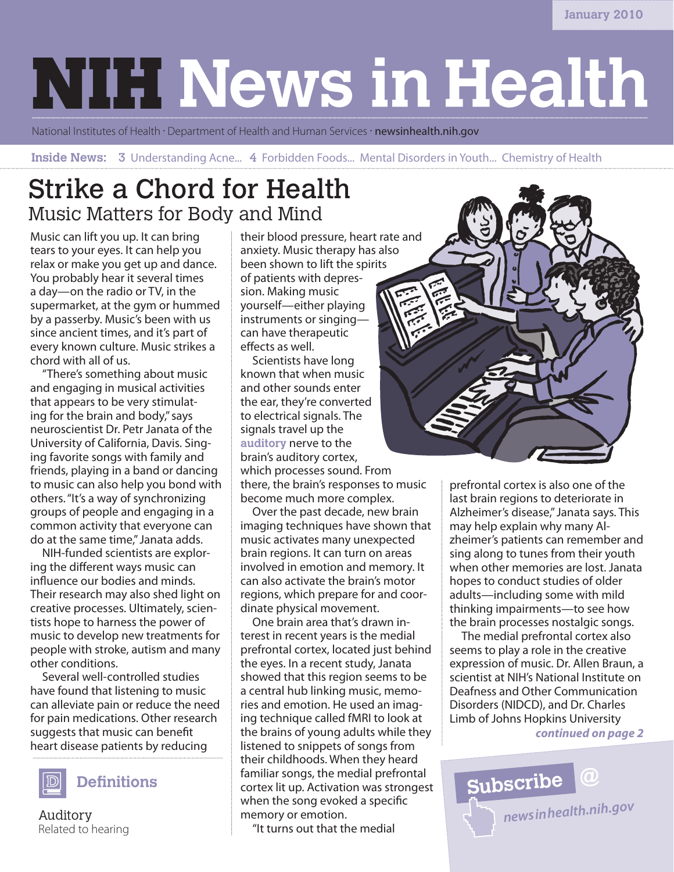# **NIH News in Health**

National Institutes of Health · Department of Health and Human Services · newsinhealth.nih.gov

**Inside News: 3** Understanding Acne... 4 Forbidden Foods... Mental Disorders in Youth... Chemistry of Health

## Strike a Chord for Health Music Matters for Body and Mind

Music can lift you up. It can bring tears to your eyes. It can help you relax or make you get up and dance. You probably hear it several times a day—on the radio or TV, in the supermarket, at the gym or hummed by a passerby. Music's been with us since ancient times, and it's part of every known culture. Music strikes a chord with all of us.

"There's something about music and engaging in musical activities that appears to be very stimulating for the brain and body," says neuroscientist Dr. Petr Janata of the University of California, Davis. Singing favorite songs with family and friends, playing in a band or dancing to music can also help you bond with others. "It's a way of synchronizing groups of people and engaging in a common activity that everyone can do at the same time," Janata adds.

NIH-funded scientists are exploring the different ways music can influence our bodies and minds. Their research may also shed light on creative processes. Ultimately, scientists hope to harness the power of music to develop new treatments for people with stroke, autism and many other conditions.

Several well-controlled studies have found that listening to music can alleviate pain or reduce the need for pain medications. Other research suggests that music can benefit heart disease patients by reducing



Auditory Related to hearing their blood pressure, heart rate and anxiety. Music therapy has also been shown to lift the spirits of patients with depression. Making music yourself—either playing instruments or singing can have therapeutic effects as well.

Scientists have long known that when music and other sounds enter the ear, they're converted to electrical signals. The signals travel up the **auditory** nerve to the brain's auditory cortex, which processes sound. From

there, the brain's responses to music become much more complex.

Over the past decade, new brain imaging techniques have shown that music activates many unexpected brain regions. It can turn on areas involved in emotion and memory. It can also activate the brain's motor regions, which prepare for and coordinate physical movement.

One brain area that's drawn interest in recent years is the medial prefrontal cortex, located just behind the eyes. In a recent study, Janata showed that this region seems to be a central hub linking music, memories and emotion. He used an imaging technique called fMRI to look at the brains of young adults while they listened to snippets of songs from their childhoods. When they heard familiar songs, the medial prefrontal cortex lit up. Activation was strongest when the song evoked a specific memory or emotion.

"It turns out that the medial



prefrontal cortex is also one of the last brain regions to deteriorate in Alzheimer's disease," Janata says. This may help explain why many Alzheimer's patients can remember and sing along to tunes from their youth when other memories are lost. Janata hopes to conduct studies of older adults—including some with mild thinking impairments—to see how the brain processes nostalgic songs.

*continued on page 2* The medial prefrontal cortex also seems to play a role in the creative expression of music. Dr. Allen Braun, a scientist at NIH's National Institute on Deafness and Other Communication Disorders (NIDCD), and Dr. Charles Limb of Johns Hopkins University

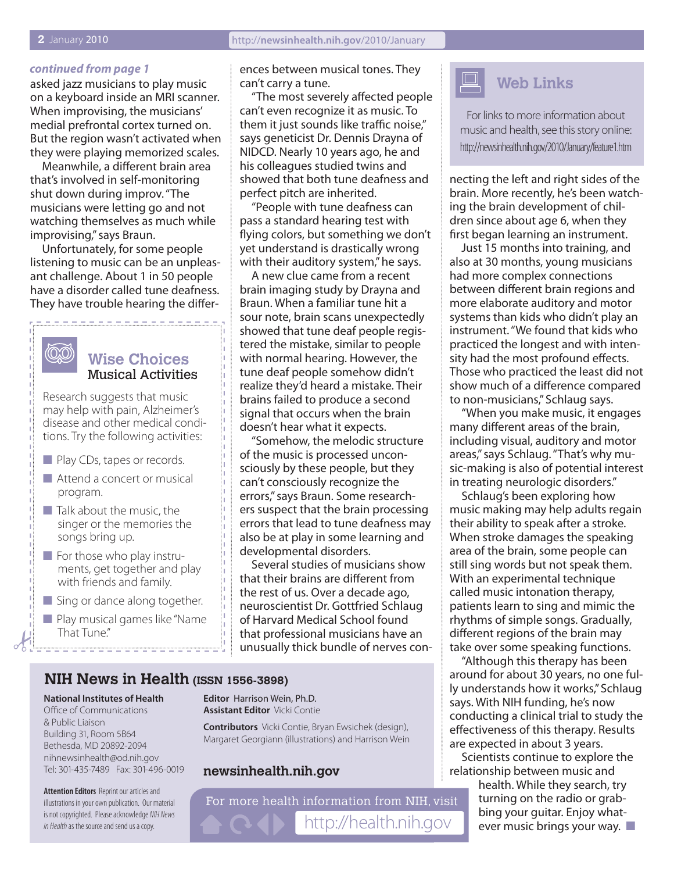#### *continued from page 1*

asked jazz musicians to play music on a keyboard inside an MRI scanner. When improvising, the musicians' medial prefrontal cortex turned on. But the region wasn't activated when they were playing memorized scales.

Meanwhile, a different brain area that's involved in self-monitoring shut down during improv. "The musicians were letting go and not watching themselves as much while improvising," says Braun.

Unfortunately, for some people listening to music can be an unpleasant challenge. About 1 in 50 people have a disorder called tune deafness. They have trouble hearing the differ-

----------

## (O.O)

#### **Wise Choices** Musical Activities

Research suggests that music may help with pain, Alzheimer's disease and other medical conditions. Try the following activities:

- **n** Play CDs, tapes or records.
- $\blacksquare$  Attend a concert or musical program.
- $\blacksquare$  Talk about the music, the singer or the memories the songs bring up.
- $\blacksquare$  For those who play instruments, get together and play with friends and family.
- $\blacksquare$  Sing or dance along together.
- **n** Play musical games like "Name That Tune."

ences between musical tones. They can't carry a tune.

"The most severely affected people can't even recognize it as music. To them it just sounds like traffic noise," says geneticist Dr. Dennis Drayna of NIDCD. Nearly 10 years ago, he and his colleagues studied twins and showed that both tune deafness and perfect pitch are inherited.

"People with tune deafness can pass a standard hearing test with flying colors, but something we don't yet understand is drastically wrong with their auditory system," he says.

A new clue came from a recent brain imaging study by Drayna and Braun. When a familiar tune hit a sour note, brain scans unexpectedly showed that tune deaf people registered the mistake, similar to people with normal hearing. However, the tune deaf people somehow didn't realize they'd heard a mistake. Their brains failed to produce a second signal that occurs when the brain doesn't hear what it expects.

"Somehow, the melodic structure of the music is processed unconsciously by these people, but they can't consciously recognize the errors," says Braun. Some researchers suspect that the brain processing errors that lead to tune deafness may also be at play in some learning and developmental disorders.

Several studies of musicians show that their brains are different from the rest of us. Over a decade ago, neuroscientist Dr. Gottfried Schlaug of Harvard Medical School found that professional musicians have an unusually thick bundle of nerves con-

#### **NIH News in Health (ISSN 1556-3898)**

#### **National Institutes of Health** Office of Communications & Public Liaison

Building 31, Room 5B64 Bethesda, MD 20892-2094 nihnewsinhealth@od.nih.gov Tel: 301-435-7489 Fax: 301-496-0019

**Attention Editors** Reprint our articles and illustrations in your own publication. Our material is not copyrighted. Please acknowledge *NIH News in Health* as the source and send us a copy.

**Editor** Harrison Wein, Ph.D. **Assistant Editor** Vicki Contie

**Contributors** Vicki Contie, Bryan Ewsichek (design), Margaret Georgiann (illustrations) and Harrison Wein

#### **newsinhealth.nih.gov**

For more health information from NIH, visit http://health.nih.gov



For links to more information about music and health, see this story online: http://newsinhealth.nih.gov/2010/January/feature1.htm

necting the left and right sides of the brain. More recently, he's been watching the brain development of children since about age 6, when they first began learning an instrument.

Just 15 months into training, and also at 30 months, young musicians had more complex connections between different brain regions and more elaborate auditory and motor systems than kids who didn't play an instrument. "We found that kids who practiced the longest and with intensity had the most profound effects. Those who practiced the least did not show much of a difference compared to non-musicians," Schlaug says.

"When you make music, it engages many different areas of the brain, including visual, auditory and motor areas," says Schlaug. "That's why music-making is also of potential interest in treating neurologic disorders."

Schlaug's been exploring how music making may help adults regain their ability to speak after a stroke. When stroke damages the speaking area of the brain, some people can still sing words but not speak them. With an experimental technique called music intonation therapy, patients learn to sing and mimic the rhythms of simple songs. Gradually, different regions of the brain may take over some speaking functions.

"Although this therapy has been around for about 30 years, no one fully understands how it works," Schlaug says. With NIH funding, he's now conducting a clinical trial to study the effectiveness of this therapy. Results are expected in about 3 years.

Scientists continue to explore the relationship between music and

> health. While they search, try turning on the radio or grabbing your guitar. Enjoy whatever music brings your way.  $\blacksquare$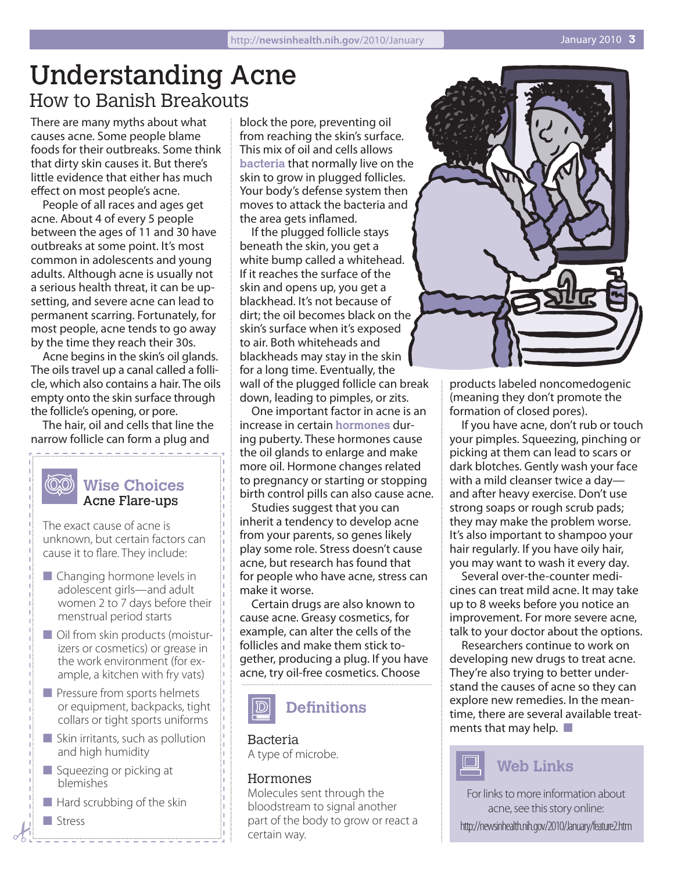## Understanding Acne How to Banish Breakouts

There are many myths about what causes acne. Some people blame foods for their outbreaks. Some think that dirty skin causes it. But there's little evidence that either has much effect on most people's acne.

People of all races and ages get acne. About 4 of every 5 people between the ages of 11 and 30 have outbreaks at some point. It's most common in adolescents and young adults. Although acne is usually not a serious health threat, it can be upsetting, and severe acne can lead to permanent scarring. Fortunately, for most people, acne tends to go away by the time they reach their 30s.

Acne begins in the skin's oil glands. The oils travel up a canal called a follicle, which also contains a hair. The oils empty onto the skin surface through the follicle's opening, or pore.

The hair, oil and cells that line the narrow follicle can form a plug and 

#### $\langle$ OO) **Wise Choices** Acne Flare-ups

The exact cause of acne is unknown, but certain factors can cause it to flare. They include:

- $\blacksquare$  Changing hormone levels in adolescent girls—and adult women 2 to 7 days before their menstrual period starts
- $\blacksquare$  Oil from skin products (moisturizers or cosmetics) or grease in the work environment (for example, a kitchen with fry vats)
- $\blacksquare$  Pressure from sports helmets or equipment, backpacks, tight collars or tight sports uniforms
- $\blacksquare$  Skin irritants, such as pollution and high humidity
- $\blacksquare$  Squeezing or picking at blemishes
- $\blacksquare$  Hard scrubbing of the skin
- **n** Stress

block the pore, preventing oil from reaching the skin's surface. This mix of oil and cells allows **bacteria** that normally live on the skin to grow in plugged follicles. Your body's defense system then moves to attack the bacteria and the area gets inflamed.

If the plugged follicle stays beneath the skin, you get a white bump called a whitehead. If it reaches the surface of the skin and opens up, you get a blackhead. It's not because of dirt; the oil becomes black on the skin's surface when it's exposed to air. Both whiteheads and blackheads may stay in the skin for a long time. Eventually, the wall of the plugged follicle can break down, leading to pimples, or zits.

One important factor in acne is an increase in certain **hormones** during puberty. These hormones cause the oil glands to enlarge and make more oil. Hormone changes related to pregnancy or starting or stopping birth control pills can also cause acne.

Studies suggest that you can inherit a tendency to develop acne from your parents, so genes likely play some role. Stress doesn't cause acne, but research has found that for people who have acne, stress can make it worse.

Certain drugs are also known to cause acne. Greasy cosmetics, for example, can alter the cells of the follicles and make them stick together, producing a plug. If you have acne, try oil-free cosmetics. Choose



#### Bacteria

A type of microbe.

#### Hormones

Molecules sent through the bloodstream to signal another part of the body to grow or react a certain way.



products labeled noncomedogenic (meaning they don't promote the formation of closed pores).

If you have acne, don't rub or touch your pimples. Squeezing, pinching or picking at them can lead to scars or dark blotches. Gently wash your face with a mild cleanser twice a day and after heavy exercise. Don't use strong soaps or rough scrub pads; they may make the problem worse. It's also important to shampoo your hair regularly. If you have oily hair, you may want to wash it every day.

Several over-the-counter medicines can treat mild acne. It may take up to 8 weeks before you notice an improvement. For more severe acne, talk to your doctor about the options.

Researchers continue to work on developing new drugs to treat acne. They're also trying to better understand the causes of acne so they can explore new remedies. In the meantime, there are several available treatments that may help.  $\blacksquare$ 

## **Web Links**

For links to more information about acne, see this story online: http://newsinhealth.nih.gov/2010/January/feature2.htm